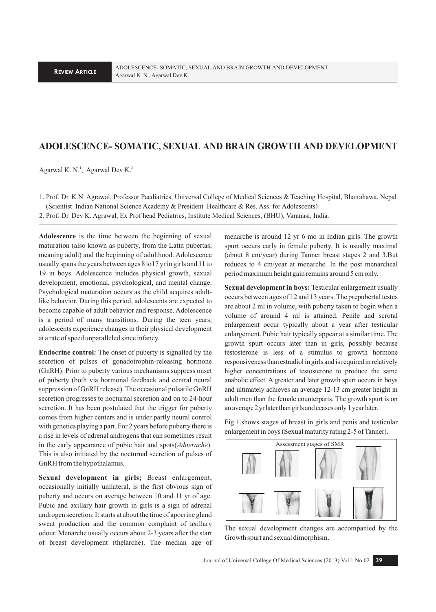# **ADOLESCENCE- SOMATIC, SEXUAL AND BRAIN GROWTH AND DEVELOPMENT**

Agarwal K. N.<sup>1</sup>, Agarwal Dev K.<sup>2</sup>

1. Prof. Dr. K.N. Agrawal, Professor Paediatrics, Universal College of Medical Sciences & Teaching Hospital, Bhairahawa, Nepal (Scientist Indian National Science Academy & President Healthcare & Res. Ass. for Adolescents)

2. Prof. Dr. Dev K. Agrawal, Ex Prof head Pediatrics, Institute Medical Sciences, (BHU), Varanasi, India.

**Adolescence** is the time between the beginning of sexual maturation (also known as puberty, from the Latin pubertas, meaning adult) and the beginning of adulthood. Adolescence usually spans the years between ages 8 to17 yr in girls and 11 to 19 in boys. Adolescence includes physical growth, sexual development, emotional, psychological, and mental change. Psychological maturation occurs as the child acquires adultlike behavior. During this period, adolescents are expected to become capable of adult behavior and response. Adolescence is a period of many transitions. During the teen years, adolescents experience changes in their physical development at a rate of speed unparalleled since infancy.

**Endocrine control:** The onset of puberty is signalled by the secretion of pulses of gonadotrophin-releasing hormone (GnRH). Prior to puberty various mechanisms suppress onset of puberty (both via hormonal feedback and central neural suppression of GnRH release). The occasional pulsatile GnRH secretion progresses to nocturnal secretion and on to 24-hour secretion. It has been postulated that the trigger for puberty comes from higher centers and is under partly neural control with genetics playing a part. For 2 years before puberty there is a rise in levels of adrenal androgens that can sometimes result in the early appearance of pubic hair and spots(*Adnerache*). This is also initiated by the nocturnal secretion of pulses of GnRH from the hypothalamus.

**Sexual development in girls;** Breast enlargement, occasionally initially unilateral, is the first obvious sign of puberty and occurs on average between 10 and 11 yr of age. Pubic and axillary hair growth in girls is a sign of adrenal androgen secretion. It starts at about the time of apocrine gland sweat production and the common complaint of axillary odour. Menarche usually occurs about 2-3 years after the start of breast development (thelarche). The median age of menarche is around 12 yr 6 mo in Indian girls. The growth spurt occurs early in female puberty. It is usually maximal (about 8 cm/year) during Tanner breast stages 2 and 3.But reduces to 4 cm/year at menarche. In the post menarcheal period maximum height gain remains around 5 cm only.

**Sexual development in boys:** Testicular enlargement usually occurs between ages of 12 and 13 years. The prepubertal testes are about 2 ml in volume, with puberty taken to begin when a volume of around 4 ml is attained. Penile and scrotal enlargement occur typically about a year after testicular enlargement. Pubic hair typically appear at a similar time. The growth spurt occurs later than in girls, possibly because testosterone is less of a stimulus to growth hormone responsiveness than estradiol in girls and is required in relatively higher concentrations of testosterone to produce the same anabolic effect. A greater and later growth spurt occurs in boys and ultimately achieves an average 12-13 cm greater height in adult men than the female counterparts. The growth spurt is on an average 2 yr later than girls and ceases only 1 year later.

Fig 1.shows stages of breast in girls and penis and testicular enlargement in boys (Sexual maturity rating 2-5 of Tanner).



The sexual development changes are accompanied by the Growth spurt and sexual dimorphism.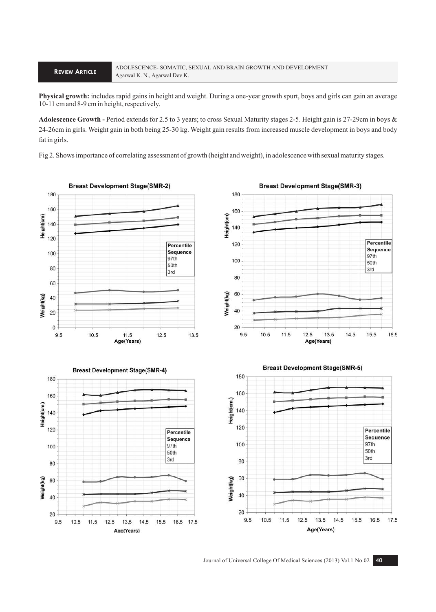**Physical growth:** includes rapid gains in height and weight. During a one-year growth spurt, boys and girls can gain an average 10-11 cm and 8-9 cm in height, respectively.

**Adolescence Growth -** Period extends for 2.5 to 3 years; to cross Sexual Maturity stages 2-5. Height gain is 27-29cm in boys & 24-26cm in girls. Weight gain in both being 25-30 kg. Weight gain results from increased muscle development in boys and body fat in girls.

Fig 2. Shows importance of correlating assessment of growth (height and weight), in adolescence with sexual maturity stages.



**Breast Development Stage(SMR-3)**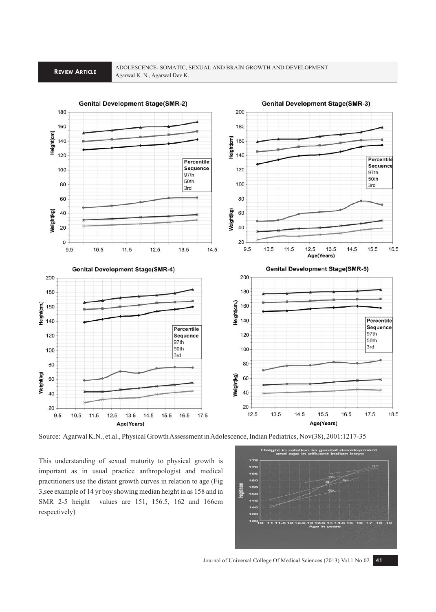

Source: Agarwal K.N., et.al., Physical Growth Assessment in Adolescence, Indian Pediatrics, Nov(38), 2001:1217-35

This understanding of sexual maturity to physical growth is important as in usual practice anthropologist and medical practitioners use the distant growth curves in relation to age (Fig 3,see example of 14 yr boy showing median height in as 158 and in SMR 2-5 height values are 151, 156.5, 162 and 166cm respectively)



Journal of Universal College Of Medical Sciences (2013) Vol.1 No.02 **41**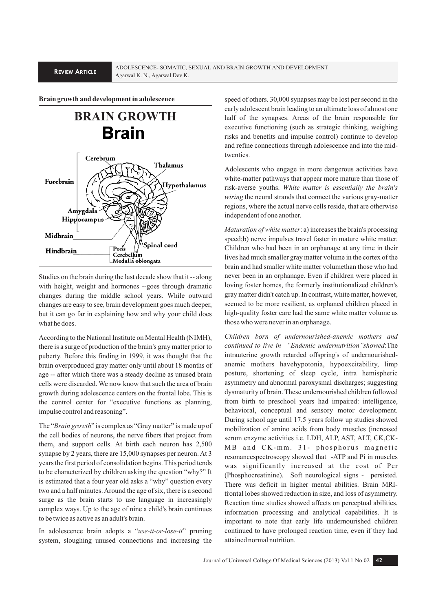### **Brain growth and development in adolescence**



Studies on the brain during the last decade show that it -- along with height, weight and hormones --goes through dramatic changes during the middle school years. While outward changes are easy to see, brain development goes much deeper, but it can go far in explaining how and why your child does what he does.

According to the National Institute on Mental Health (NIMH), there is a surge of production of the brain's gray matter prior to puberty. Before this finding in 1999, it was thought that the brain overproduced gray matter only until about 18 months of age -- after which there was a steady decline as unused brain cells were discarded. We now know that such the area of brain growth during adolescence centers on the frontal lobe. This is the control center for "executive functions as planning, impulse control and reasoning".

The "*Brain growth*" is complex as "Gray matter**"** is made up of the cell bodies of neurons, the nerve fibers that project from them, and support cells. At birth each neuron has 2,500 synapse by 2 years, there are 15,000 synapses per neuron. At 3 years the first period of consolidation begins. This period tends to be characterized by children asking the question "why?" It is estimated that a four year old asks a "why" question every two and a half minutes. Around the age of six, there is a second surge as the brain starts to use language in increasingly complex ways. Up to the age of nine a child's brain continues to be twice as active as an adult's brain.

In adolescence brain adopts a "*use-it-or-lose-it*" pruning system, sloughing unused connections and increasing the

speed of others. 30,000 synapses may be lost per second in the early adolescent brain leading to an ultimate loss of almost one half of the synapses. Areas of the brain responsible for executive functioning (such as strategic thinking, weighing risks and benefits and impulse control) continue to develop and refine connections through adolescence and into the midtwenties.

Adolescents who engage in more dangerous activities have white-matter pathways that appear more mature than those of risk-averse youths. *White matter is essentially the brain's wiring* the neural strands that connect the various gray-matter regions, where the actual nerve cells reside, that are otherwise independent of one another.

*Maturation of white matter*: a) increases the brain's processing speed;b) nerve impulses travel faster in mature white matter. Children who had been in an orphanage at any time in their lives had much smaller gray matter volume in the cortex of the brain and had smaller white matter volumethan those who had never been in an orphanage. Even if children were placed in loving foster homes, the formerly institutionalized children's gray matter didn't catch up. In contrast, white matter, however, seemed to be more resilient, as orphaned children placed in high-quality foster care had the same white matter volume as those who were never in an orphanage.

*Children born of undernourished-anemic mothers and continued to live in "Endemic undernutrition"showed*:The intrauterine growth retarded offspring's of undernourishedanemic mothers havehypotonia, hypoexcitability, limp posture, shortening of sleep cycle, intra hemispheric asymmetry and abnormal paroxysmal discharges; suggesting dysmaturity of brain. These undernourished children followed from birth to preschool years had impaired: intelligence, behavioral, conceptual and sensory motor development. During school age until 17.5 years follow up studies showed mobilization of amino acids from body muscles (increased serum enzyme activities i.e. LDH, ALP, AST, ALT, CK,CK-MB and CK-mm. 31- phosphorus magnetic resonancespectroscopy showed that -ATP and Pi in muscles was significantly increased at the cost of Pcr (Phosphocreatinine). Soft neurological signs - persisted. There was deficit in higher mental abilities. Brain MRIfrontal lobes showed reduction in size, and loss of asymmetry. Reaction time studies showed affects on perceptual abilities, information processing and analytical capabilities. It is important to note that early life undernourished children continued to have prolonged reaction time, even if they had attained normal nutrition.